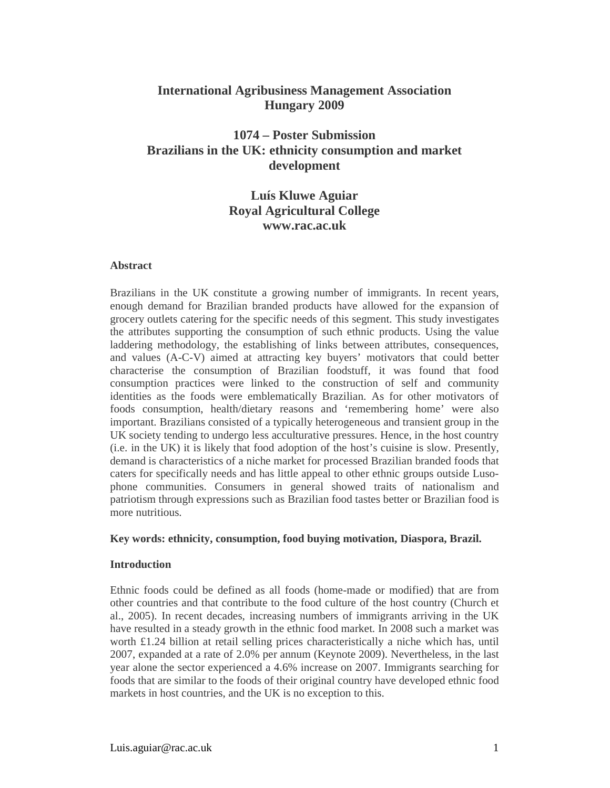### **International Agribusiness Management Association Hungary 2009**

## **1074 – Poster Submission Brazilians in the UK: ethnicity consumption and market development**

## **Luís Kluwe Aguiar Royal Agricultural College www.rac.ac.uk**

#### **Abstract**

Brazilians in the UK constitute a growing number of immigrants. In recent years, enough demand for Brazilian branded products have allowed for the expansion of grocery outlets catering for the specific needs of this segment. This study investigates the attributes supporting the consumption of such ethnic products. Using the value laddering methodology, the establishing of links between attributes, consequences, and values (A-C-V) aimed at attracting key buyers' motivators that could better characterise the consumption of Brazilian foodstuff, it was found that food consumption practices were linked to the construction of self and community identities as the foods were emblematically Brazilian. As for other motivators of foods consumption, health/dietary reasons and 'remembering home' were also important. Brazilians consisted of a typically heterogeneous and transient group in the UK society tending to undergo less acculturative pressures. Hence, in the host country (i.e. in the UK) it is likely that food adoption of the host's cuisine is slow. Presently, demand is characteristics of a niche market for processed Brazilian branded foods that caters for specifically needs and has little appeal to other ethnic groups outside Lusophone communities. Consumers in general showed traits of nationalism and patriotism through expressions such as Brazilian food tastes better or Brazilian food is more nutritious.

#### **Key words: ethnicity, consumption, food buying motivation, Diaspora, Brazil.**

#### **Introduction**

Ethnic foods could be defined as all foods (home-made or modified) that are from other countries and that contribute to the food culture of the host country (Church et al., 2005). In recent decades, increasing numbers of immigrants arriving in the UK have resulted in a steady growth in the ethnic food market. In 2008 such a market was worth £1.24 billion at retail selling prices characteristically a niche which has, until 2007, expanded at a rate of 2.0% per annum (Keynote 2009). Nevertheless, in the last year alone the sector experienced a 4.6% increase on 2007. Immigrants searching for foods that are similar to the foods of their original country have developed ethnic food markets in host countries, and the UK is no exception to this.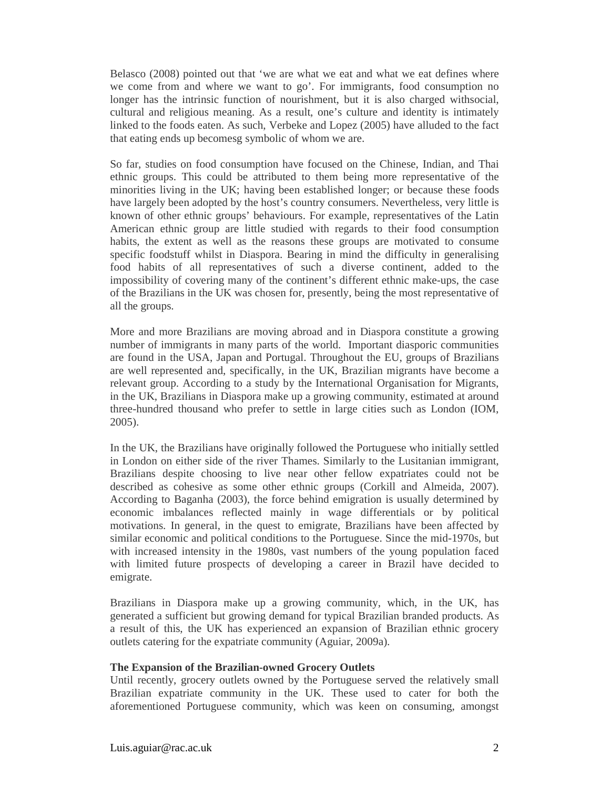Belasco (2008) pointed out that 'we are what we eat and what we eat defines where we come from and where we want to go'. For immigrants, food consumption no longer has the intrinsic function of nourishment, but it is also charged withsocial, cultural and religious meaning. As a result, one's culture and identity is intimately linked to the foods eaten. As such, Verbeke and Lopez (2005) have alluded to the fact that eating ends up becomesg symbolic of whom we are.

So far, studies on food consumption have focused on the Chinese, Indian, and Thai ethnic groups. This could be attributed to them being more representative of the minorities living in the UK; having been established longer; or because these foods have largely been adopted by the host's country consumers. Nevertheless, very little is known of other ethnic groups' behaviours. For example, representatives of the Latin American ethnic group are little studied with regards to their food consumption habits, the extent as well as the reasons these groups are motivated to consume specific foodstuff whilst in Diaspora. Bearing in mind the difficulty in generalising food habits of all representatives of such a diverse continent, added to the impossibility of covering many of the continent's different ethnic make-ups, the case of the Brazilians in the UK was chosen for, presently, being the most representative of all the groups.

More and more Brazilians are moving abroad and in Diaspora constitute a growing number of immigrants in many parts of the world. Important diasporic communities are found in the USA, Japan and Portugal. Throughout the EU, groups of Brazilians are well represented and, specifically, in the UK, Brazilian migrants have become a relevant group. According to a study by the International Organisation for Migrants, in the UK, Brazilians in Diaspora make up a growing community, estimated at around three-hundred thousand who prefer to settle in large cities such as London (IOM, 2005).

In the UK, the Brazilians have originally followed the Portuguese who initially settled in London on either side of the river Thames. Similarly to the Lusitanian immigrant, Brazilians despite choosing to live near other fellow expatriates could not be described as cohesive as some other ethnic groups (Corkill and Almeida, 2007). According to Baganha (2003), the force behind emigration is usually determined by economic imbalances reflected mainly in wage differentials or by political motivations. In general, in the quest to emigrate, Brazilians have been affected by similar economic and political conditions to the Portuguese. Since the mid-1970s, but with increased intensity in the 1980s, vast numbers of the young population faced with limited future prospects of developing a career in Brazil have decided to emigrate.

Brazilians in Diaspora make up a growing community, which, in the UK, has generated a sufficient but growing demand for typical Brazilian branded products. As a result of this, the UK has experienced an expansion of Brazilian ethnic grocery outlets catering for the expatriate community (Aguiar, 2009a).

#### **The Expansion of the Brazilian-owned Grocery Outlets**

Until recently, grocery outlets owned by the Portuguese served the relatively small Brazilian expatriate community in the UK. These used to cater for both the aforementioned Portuguese community, which was keen on consuming, amongst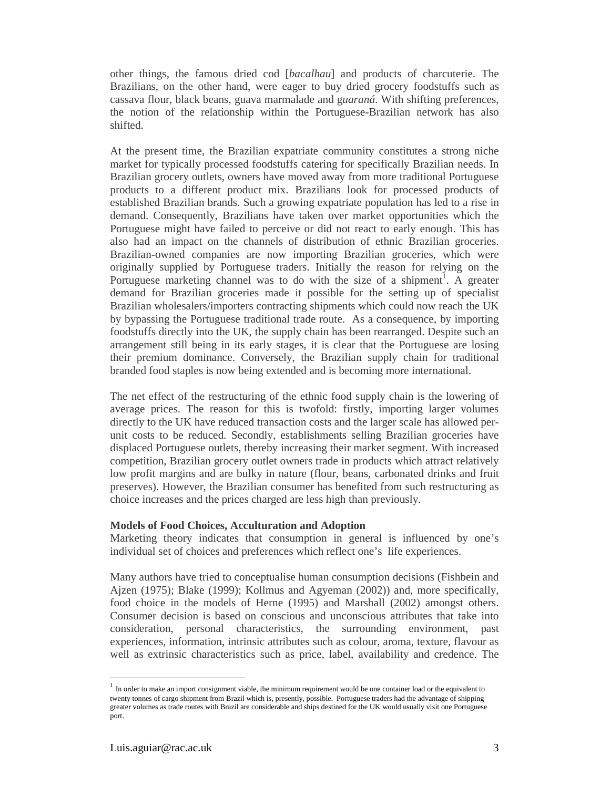other things, the famous dried cod [*bacalhau*] and products of charcuterie. The Brazilians, on the other hand, were eager to buy dried grocery foodstuffs such as cassava flour, black beans, guava marmalade and g*uaraná*. With shifting preferences, the notion of the relationship within the Portuguese-Brazilian network has also shifted.

At the present time, the Brazilian expatriate community constitutes a strong niche market for typically processed foodstuffs catering for specifically Brazilian needs. In Brazilian grocery outlets, owners have moved away from more traditional Portuguese products to a different product mix. Brazilians look for processed products of established Brazilian brands. Such a growing expatriate population has led to a rise in demand. Consequently, Brazilians have taken over market opportunities which the Portuguese might have failed to perceive or did not react to early enough. This has also had an impact on the channels of distribution of ethnic Brazilian groceries. Brazilian-owned companies are now importing Brazilian groceries, which were originally supplied by Portuguese traders. Initially the reason for relying on the Portuguese marketing channel was to do with the size of a shipment<sup>1</sup>. A greater demand for Brazilian groceries made it possible for the setting up of specialist Brazilian wholesalers/importers contracting shipments which could now reach the UK by bypassing the Portuguese traditional trade route. As a consequence, by importing foodstuffs directly into the UK, the supply chain has been rearranged. Despite such an arrangement still being in its early stages, it is clear that the Portuguese are losing their premium dominance. Conversely, the Brazilian supply chain for traditional branded food staples is now being extended and is becoming more international.

The net effect of the restructuring of the ethnic food supply chain is the lowering of average prices. The reason for this is twofold: firstly, importing larger volumes directly to the UK have reduced transaction costs and the larger scale has allowed perunit costs to be reduced. Secondly, establishments selling Brazilian groceries have displaced Portuguese outlets, thereby increasing their market segment. With increased competition, Brazilian grocery outlet owners trade in products which attract relatively low profit margins and are bulky in nature (flour, beans, carbonated drinks and fruit preserves). However, the Brazilian consumer has benefited from such restructuring as choice increases and the prices charged are less high than previously.

#### **Models of Food Choices, Acculturation and Adoption**

Marketing theory indicates that consumption in general is influenced by one's individual set of choices and preferences which reflect one's life experiences.

Many authors have tried to conceptualise human consumption decisions (Fishbein and Ajzen (1975); Blake (1999); Kollmus and Agyeman (2002)) and, more specifically, food choice in the models of Herne (1995) and Marshall (2002) amongst others. Consumer decision is based on conscious and unconscious attributes that take into consideration, personal characteristics, the surrounding environment, past experiences, information, intrinsic attributes such as colour, aroma, texture, flavour as well as extrinsic characteristics such as price, label, availability and credence. The

-

 $<sup>1</sup>$  In order to make an import consignment viable, the minimum requirement would be one container load or the equivalent to</sup> twenty tonnes of cargo shipment from Brazil which is, presently, possible. Portuguese traders had the advantage of shipping greater volumes as trade routes with Brazil are considerable and ships destined for the UK would usually visit one Portuguese port.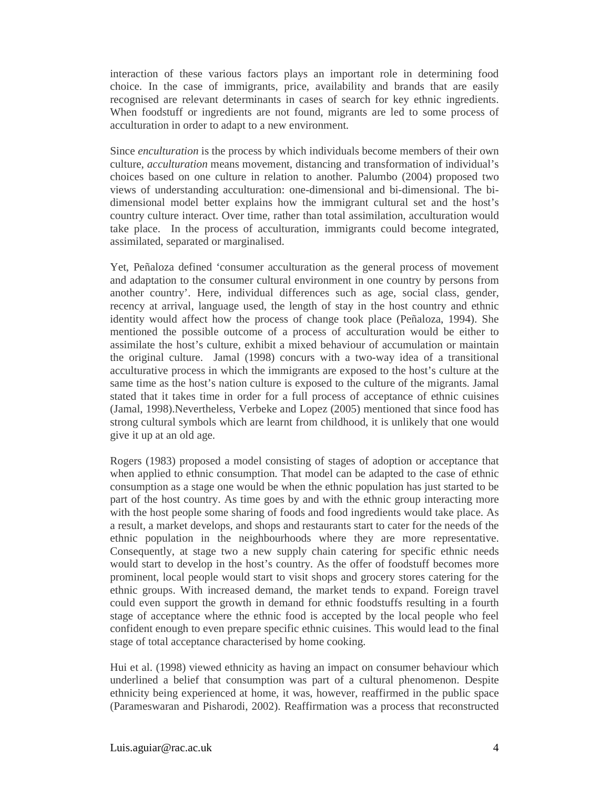interaction of these various factors plays an important role in determining food choice. In the case of immigrants, price, availability and brands that are easily recognised are relevant determinants in cases of search for key ethnic ingredients. When foodstuff or ingredients are not found, migrants are led to some process of acculturation in order to adapt to a new environment.

Since *enculturation* is the process by which individuals become members of their own culture, *acculturation* means movement, distancing and transformation of individual's choices based on one culture in relation to another. Palumbo (2004) proposed two views of understanding acculturation: one-dimensional and bi-dimensional. The bidimensional model better explains how the immigrant cultural set and the host's country culture interact. Over time, rather than total assimilation, acculturation would take place. In the process of acculturation, immigrants could become integrated, assimilated, separated or marginalised.

Yet, Peñaloza defined 'consumer acculturation as the general process of movement and adaptation to the consumer cultural environment in one country by persons from another country'. Here, individual differences such as age, social class, gender, recency at arrival, language used, the length of stay in the host country and ethnic identity would affect how the process of change took place (Peñaloza, 1994). She mentioned the possible outcome of a process of acculturation would be either to assimilate the host's culture, exhibit a mixed behaviour of accumulation or maintain the original culture. Jamal (1998) concurs with a two-way idea of a transitional acculturative process in which the immigrants are exposed to the host's culture at the same time as the host's nation culture is exposed to the culture of the migrants. Jamal stated that it takes time in order for a full process of acceptance of ethnic cuisines (Jamal, 1998).Nevertheless, Verbeke and Lopez (2005) mentioned that since food has strong cultural symbols which are learnt from childhood, it is unlikely that one would give it up at an old age.

Rogers (1983) proposed a model consisting of stages of adoption or acceptance that when applied to ethnic consumption. That model can be adapted to the case of ethnic consumption as a stage one would be when the ethnic population has just started to be part of the host country. As time goes by and with the ethnic group interacting more with the host people some sharing of foods and food ingredients would take place. As a result, a market develops, and shops and restaurants start to cater for the needs of the ethnic population in the neighbourhoods where they are more representative. Consequently, at stage two a new supply chain catering for specific ethnic needs would start to develop in the host's country. As the offer of foodstuff becomes more prominent, local people would start to visit shops and grocery stores catering for the ethnic groups. With increased demand, the market tends to expand. Foreign travel could even support the growth in demand for ethnic foodstuffs resulting in a fourth stage of acceptance where the ethnic food is accepted by the local people who feel confident enough to even prepare specific ethnic cuisines. This would lead to the final stage of total acceptance characterised by home cooking.

Hui et al. (1998) viewed ethnicity as having an impact on consumer behaviour which underlined a belief that consumption was part of a cultural phenomenon. Despite ethnicity being experienced at home, it was, however, reaffirmed in the public space (Parameswaran and Pisharodi, 2002). Reaffirmation was a process that reconstructed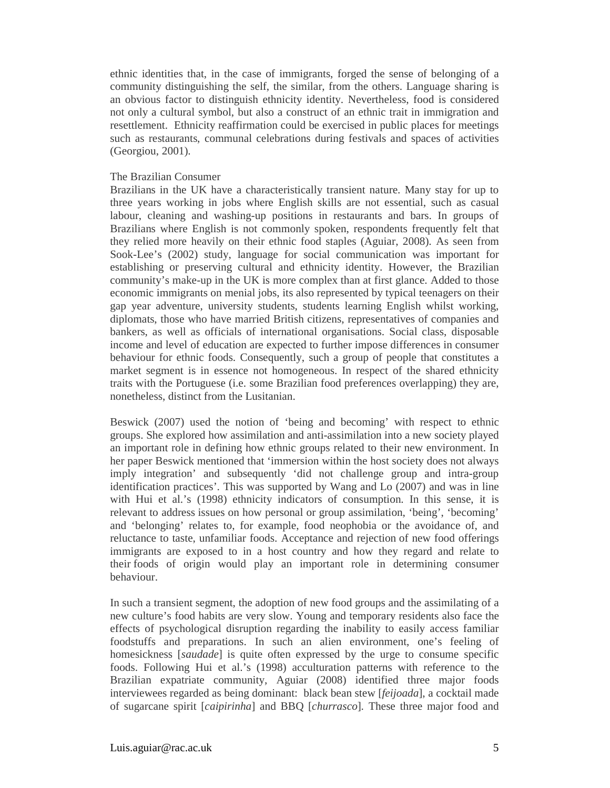ethnic identities that, in the case of immigrants, forged the sense of belonging of a community distinguishing the self, the similar, from the others. Language sharing is an obvious factor to distinguish ethnicity identity. Nevertheless, food is considered not only a cultural symbol, but also a construct of an ethnic trait in immigration and resettlement. Ethnicity reaffirmation could be exercised in public places for meetings such as restaurants, communal celebrations during festivals and spaces of activities (Georgiou, 2001).

#### The Brazilian Consumer

Brazilians in the UK have a characteristically transient nature. Many stay for up to three years working in jobs where English skills are not essential, such as casual labour, cleaning and washing-up positions in restaurants and bars. In groups of Brazilians where English is not commonly spoken, respondents frequently felt that they relied more heavily on their ethnic food staples (Aguiar, 2008). As seen from Sook-Lee's (2002) study, language for social communication was important for establishing or preserving cultural and ethnicity identity. However, the Brazilian community's make-up in the UK is more complex than at first glance. Added to those economic immigrants on menial jobs, its also represented by typical teenagers on their gap year adventure, university students, students learning English whilst working, diplomats, those who have married British citizens, representatives of companies and bankers, as well as officials of international organisations. Social class, disposable income and level of education are expected to further impose differences in consumer behaviour for ethnic foods. Consequently, such a group of people that constitutes a market segment is in essence not homogeneous. In respect of the shared ethnicity traits with the Portuguese (i.e. some Brazilian food preferences overlapping) they are, nonetheless, distinct from the Lusitanian.

Beswick (2007) used the notion of 'being and becoming' with respect to ethnic groups. She explored how assimilation and anti-assimilation into a new society played an important role in defining how ethnic groups related to their new environment. In her paper Beswick mentioned that 'immersion within the host society does not always imply integration' and subsequently 'did not challenge group and intra-group identification practices'. This was supported by Wang and Lo (2007) and was in line with Hui et al.'s (1998) ethnicity indicators of consumption. In this sense, it is relevant to address issues on how personal or group assimilation, 'being', 'becoming' and 'belonging' relates to, for example, food neophobia or the avoidance of, and reluctance to taste, unfamiliar foods. Acceptance and rejection of new food offerings immigrants are exposed to in a host country and how they regard and relate to their foods of origin would play an important role in determining consumer behaviour.

In such a transient segment, the adoption of new food groups and the assimilating of a new culture's food habits are very slow. Young and temporary residents also face the effects of psychological disruption regarding the inability to easily access familiar foodstuffs and preparations. In such an alien environment, one's feeling of homesickness [*saudade*] is quite often expressed by the urge to consume specific foods. Following Hui et al.'s (1998) acculturation patterns with reference to the Brazilian expatriate community, Aguiar (2008) identified three major foods interviewees regarded as being dominant: black bean stew [*feijoada*], a cocktail made of sugarcane spirit [*caipirinha*] and BBQ [*churrasco*]*.* These three major food and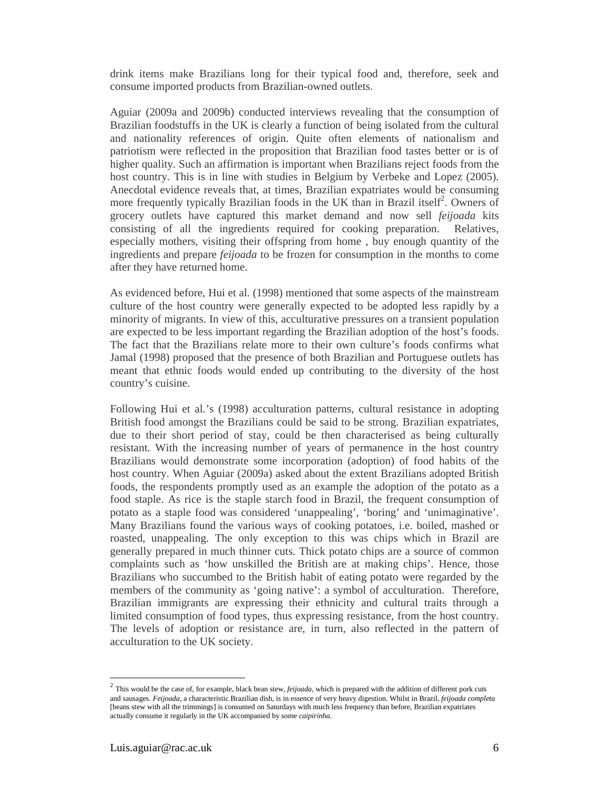drink items make Brazilians long for their typical food and, therefore, seek and consume imported products from Brazilian-owned outlets.

Aguiar (2009a and 2009b) conducted interviews revealing that the consumption of Brazilian foodstuffs in the UK is clearly a function of being isolated from the cultural and nationality references of origin. Quite often elements of nationalism and patriotism were reflected in the proposition that Brazilian food tastes better or is of higher quality. Such an affirmation is important when Brazilians reject foods from the host country. This is in line with studies in Belgium by Verbeke and Lopez (2005). Anecdotal evidence reveals that, at times, Brazilian expatriates would be consuming more frequently typically Brazilian foods in the UK than in Brazil itself<sup>2</sup>. Owners of grocery outlets have captured this market demand and now sell *feijoada* kits consisting of all the ingredients required for cooking preparation. Relatives, especially mothers, visiting their offspring from home , buy enough quantity of the ingredients and prepare *feijoada* to be frozen for consumption in the months to come after they have returned home.

As evidenced before, Hui et al. (1998) mentioned that some aspects of the mainstream culture of the host country were generally expected to be adopted less rapidly by a minority of migrants. In view of this, acculturative pressures on a transient population are expected to be less important regarding the Brazilian adoption of the host's foods. The fact that the Brazilians relate more to their own culture's foods confirms what Jamal (1998) proposed that the presence of both Brazilian and Portuguese outlets has meant that ethnic foods would ended up contributing to the diversity of the host country's cuisine.

Following Hui et al.'s (1998) acculturation patterns, cultural resistance in adopting British food amongst the Brazilians could be said to be strong. Brazilian expatriates, due to their short period of stay, could be then characterised as being culturally resistant. With the increasing number of years of permanence in the host country Brazilians would demonstrate some incorporation (adoption) of food habits of the host country. When Aguiar (2009a) asked about the extent Brazilians adopted British foods, the respondents promptly used as an example the adoption of the potato as a food staple. As rice is the staple starch food in Brazil, the frequent consumption of potato as a staple food was considered 'unappealing', 'boring' and 'unimaginative'. Many Brazilians found the various ways of cooking potatoes, i.e. boiled, mashed or roasted, unappealing. The only exception to this was chips which in Brazil are generally prepared in much thinner cuts. Thick potato chips are a source of common complaints such as 'how unskilled the British are at making chips'. Hence, those Brazilians who succumbed to the British habit of eating potato were regarded by the members of the community as 'going native': a symbol of acculturation. Therefore, Brazilian immigrants are expressing their ethnicity and cultural traits through a limited consumption of food types, thus expressing resistance, from the host country. The levels of adoption or resistance are, in turn, also reflected in the pattern of acculturation to the UK society.

-

<sup>2</sup> This would be the case of, for example, black bean stew, *feijoada,* which is prepared with the addition of different pork cuts and sausages. *Feijoada,* a characteristic Brazilian dish, is in essence of very heavy digestion. Whilst in Brazil, *feijoada completa*  [beans stew with all the trimmings] is consumed on Saturdays with much less frequency than before, Brazilian expatriates actually consume it regularly in the UK accompanied by some *caipirinha*.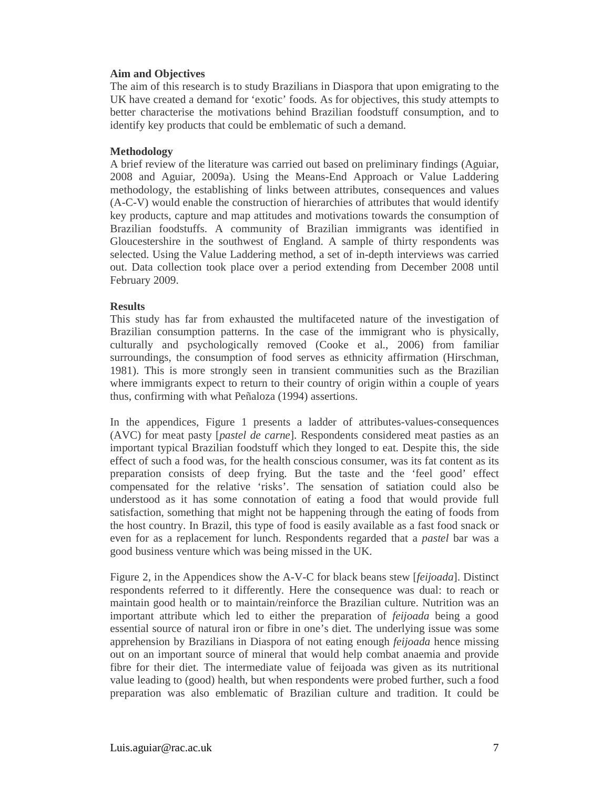#### **Aim and Objectives**

The aim of this research is to study Brazilians in Diaspora that upon emigrating to the UK have created a demand for 'exotic' foods. As for objectives, this study attempts to better characterise the motivations behind Brazilian foodstuff consumption, and to identify key products that could be emblematic of such a demand.

#### **Methodology**

A brief review of the literature was carried out based on preliminary findings (Aguiar, 2008 and Aguiar, 2009a). Using the Means-End Approach or Value Laddering methodology, the establishing of links between attributes, consequences and values (A-C-V) would enable the construction of hierarchies of attributes that would identify key products, capture and map attitudes and motivations towards the consumption of Brazilian foodstuffs. A community of Brazilian immigrants was identified in Gloucestershire in the southwest of England. A sample of thirty respondents was selected. Using the Value Laddering method, a set of in-depth interviews was carried out. Data collection took place over a period extending from December 2008 until February 2009.

#### **Results**

This study has far from exhausted the multifaceted nature of the investigation of Brazilian consumption patterns. In the case of the immigrant who is physically, culturally and psychologically removed (Cooke et al., 2006) from familiar surroundings, the consumption of food serves as ethnicity affirmation (Hirschman, 1981). This is more strongly seen in transient communities such as the Brazilian where immigrants expect to return to their country of origin within a couple of years thus, confirming with what Peñaloza (1994) assertions.

In the appendices, Figure 1 presents a ladder of attributes-values-consequences (AVC) for meat pasty [*pastel de carne*]. Respondents considered meat pasties as an important typical Brazilian foodstuff which they longed to eat. Despite this, the side effect of such a food was, for the health conscious consumer, was its fat content as its preparation consists of deep frying. But the taste and the 'feel good' effect compensated for the relative 'risks'. The sensation of satiation could also be understood as it has some connotation of eating a food that would provide full satisfaction, something that might not be happening through the eating of foods from the host country. In Brazil, this type of food is easily available as a fast food snack or even for as a replacement for lunch. Respondents regarded that a *pastel* bar was a good business venture which was being missed in the UK.

Figure 2, in the Appendices show the A-V-C for black beans stew [*feijoada*]. Distinct respondents referred to it differently. Here the consequence was dual: to reach or maintain good health or to maintain/reinforce the Brazilian culture. Nutrition was an important attribute which led to either the preparation of *feijoada* being a good essential source of natural iron or fibre in one's diet. The underlying issue was some apprehension by Brazilians in Diaspora of not eating enough *feijoada* hence missing out on an important source of mineral that would help combat anaemia and provide fibre for their diet. The intermediate value of feijoada was given as its nutritional value leading to (good) health, but when respondents were probed further, such a food preparation was also emblematic of Brazilian culture and tradition. It could be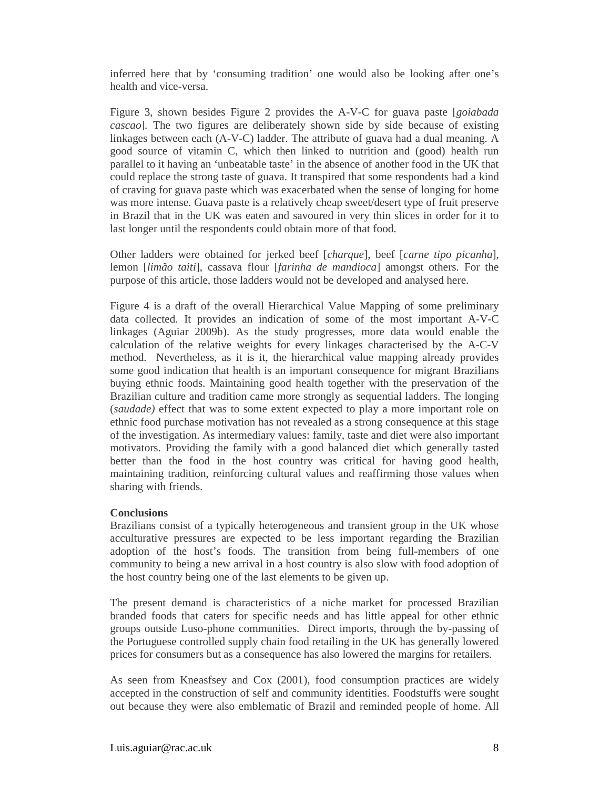inferred here that by 'consuming tradition' one would also be looking after one's health and vice-versa.

Figure 3, shown besides Figure 2 provides the A-V-C for guava paste [*goiabada cascao*]*.* The two figures are deliberately shown side by side because of existing linkages between each (A-V-C) ladder. The attribute of guava had a dual meaning. A good source of vitamin C, which then linked to nutrition and (good) health run parallel to it having an 'unbeatable taste' in the absence of another food in the UK that could replace the strong taste of guava. It transpired that some respondents had a kind of craving for guava paste which was exacerbated when the sense of longing for home was more intense. Guava paste is a relatively cheap sweet/desert type of fruit preserve in Brazil that in the UK was eaten and savoured in very thin slices in order for it to last longer until the respondents could obtain more of that food.

Other ladders were obtained for jerked beef [*charque*], beef [*carne tipo picanha*], lemon [*limão taiti*], cassava flour [*farinha de mandioca*] amongst others. For the purpose of this article, those ladders would not be developed and analysed here.

Figure 4 is a draft of the overall Hierarchical Value Mapping of some preliminary data collected. It provides an indication of some of the most important A-V-C linkages (Aguiar 2009b). As the study progresses, more data would enable the calculation of the relative weights for every linkages characterised by the A-C-V method. Nevertheless, as it is it, the hierarchical value mapping already provides some good indication that health is an important consequence for migrant Brazilians buying ethnic foods. Maintaining good health together with the preservation of the Brazilian culture and tradition came more strongly as sequential ladders. The longing (*saudade)* effect that was to some extent expected to play a more important role on ethnic food purchase motivation has not revealed as a strong consequence at this stage of the investigation. As intermediary values: family, taste and diet were also important motivators. Providing the family with a good balanced diet which generally tasted better than the food in the host country was critical for having good health, maintaining tradition, reinforcing cultural values and reaffirming those values when sharing with friends.

#### **Conclusions**

Brazilians consist of a typically heterogeneous and transient group in the UK whose acculturative pressures are expected to be less important regarding the Brazilian adoption of the host's foods. The transition from being full-members of one community to being a new arrival in a host country is also slow with food adoption of the host country being one of the last elements to be given up.

The present demand is characteristics of a niche market for processed Brazilian branded foods that caters for specific needs and has little appeal for other ethnic groups outside Luso-phone communities. Direct imports, through the by-passing of the Portuguese controlled supply chain food retailing in the UK has generally lowered prices for consumers but as a consequence has also lowered the margins for retailers.

As seen from Kneasfsey and Cox (2001), food consumption practices are widely accepted in the construction of self and community identities. Foodstuffs were sought out because they were also emblematic of Brazil and reminded people of home. All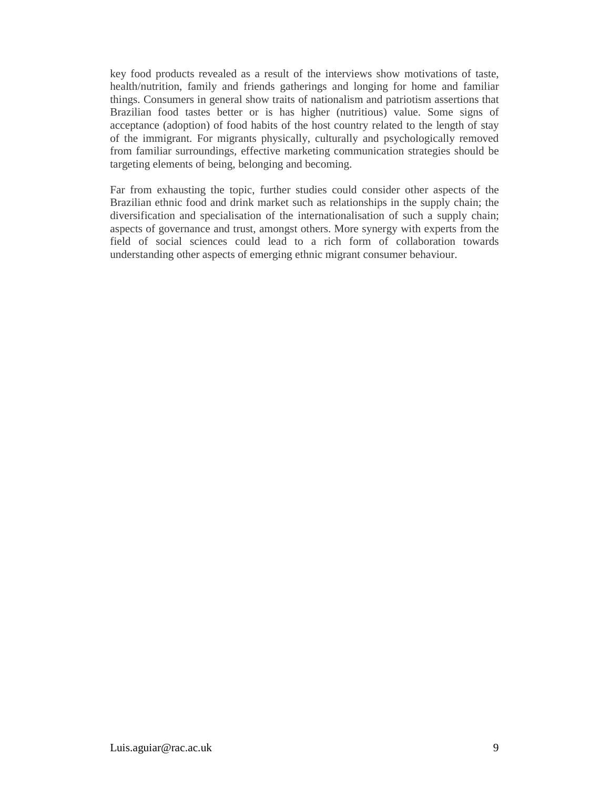key food products revealed as a result of the interviews show motivations of taste, health/nutrition, family and friends gatherings and longing for home and familiar things. Consumers in general show traits of nationalism and patriotism assertions that Brazilian food tastes better or is has higher (nutritious) value. Some signs of acceptance (adoption) of food habits of the host country related to the length of stay of the immigrant. For migrants physically, culturally and psychologically removed from familiar surroundings, effective marketing communication strategies should be targeting elements of being, belonging and becoming.

Far from exhausting the topic, further studies could consider other aspects of the Brazilian ethnic food and drink market such as relationships in the supply chain; the diversification and specialisation of the internationalisation of such a supply chain; aspects of governance and trust, amongst others. More synergy with experts from the field of social sciences could lead to a rich form of collaboration towards understanding other aspects of emerging ethnic migrant consumer behaviour.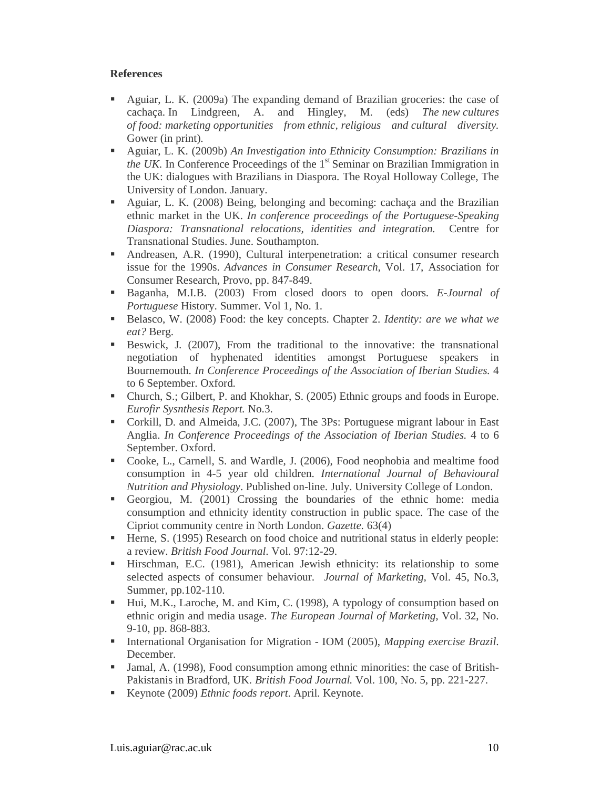### **References**

- Aguiar, L. K. (2009a) The expanding demand of Brazilian groceries: the case of cachaça. In Lindgreen, A. and Hingley, M. (eds) *The new cultures of food: marketing opportunities from ethnic, religious and cultural diversity.* Gower (in print).
- Aguiar, L. K. (2009b) *An Investigation into Ethnicity Consumption: Brazilians in the UK*. In Conference Proceedings of the 1<sup>st</sup> Seminar on Brazilian Immigration in the UK: dialogues with Brazilians in Diaspora. The Royal Holloway College, The University of London. January.
- Aguiar, L. K. (2008) Being, belonging and becoming: cachaça and the Brazilian ethnic market in the UK. *In conference proceedings of the Portuguese-Speaking Diaspora: Transnational relocations, identities and integration.* Centre for Transnational Studies. June. Southampton.
- Andreasen, A.R. (1990), Cultural interpenetration: a critical consumer research issue for the 1990s. *Advances in Consumer Research,* Vol. 17, Association for Consumer Research, Provo, pp. 847-849.
- Baganha, M.I.B. (2003) From closed doors to open doors. *E-Journal of Portuguese* History. Summer. Vol 1, No. 1.
- Belasco, W. (2008) Food: the key concepts. Chapter 2. *Identity: are we what we eat?* Berg.
- Beswick, J. (2007), From the traditional to the innovative: the transnational negotiation of hyphenated identities amongst Portuguese speakers in Bournemouth. *In Conference Proceedings of the Association of Iberian Studies.* 4 to 6 September. Oxford.
- Church, S.; Gilbert, P. and Khokhar, S. (2005) Ethnic groups and foods in Europe. *Eurofir Sysnthesis Report.* No.3.
- Corkill, D. and Almeida, J.C. (2007), The 3Ps: Portuguese migrant labour in East Anglia. *In Conference Proceedings of the Association of Iberian Studies.* 4 to 6 September. Oxford.
- Cooke, L., Carnell, S. and Wardle, J. (2006), Food neophobia and mealtime food consumption in 4-5 year old children. *International Journal of Behavioural Nutrition and Physiology*. Published on-line. July. University College of London.
- Georgiou, M. (2001) Crossing the boundaries of the ethnic home: media consumption and ethnicity identity construction in public space. The case of the Cipriot community centre in North London. *Gazette.* 63(4)
- Herne, S. (1995) Research on food choice and nutritional status in elderly people: a review. *British Food Journal*. Vol. 97:12-29.
- Hirschman, E.C. (1981), American Jewish ethnicity: its relationship to some selected aspects of consumer behaviour. *Journal of Marketing,* Vol. 45, No.3, Summer, pp.102-110.
- Hui, M.K., Laroche, M. and Kim, C. (1998), A typology of consumption based on ethnic origin and media usage. *The European Journal of Marketing,* Vol. 32, No. 9-10, pp. 868-883.
- International Organisation for Migration IOM (2005), *Mapping exercise Brazil*. December.
- Jamal, A. (1998), Food consumption among ethnic minorities: the case of British-Pakistanis in Bradford, UK. *British Food Journal.* Vol. 100, No. 5, pp. 221-227.
- Keynote (2009) *Ethnic foods report*. April. Keynote.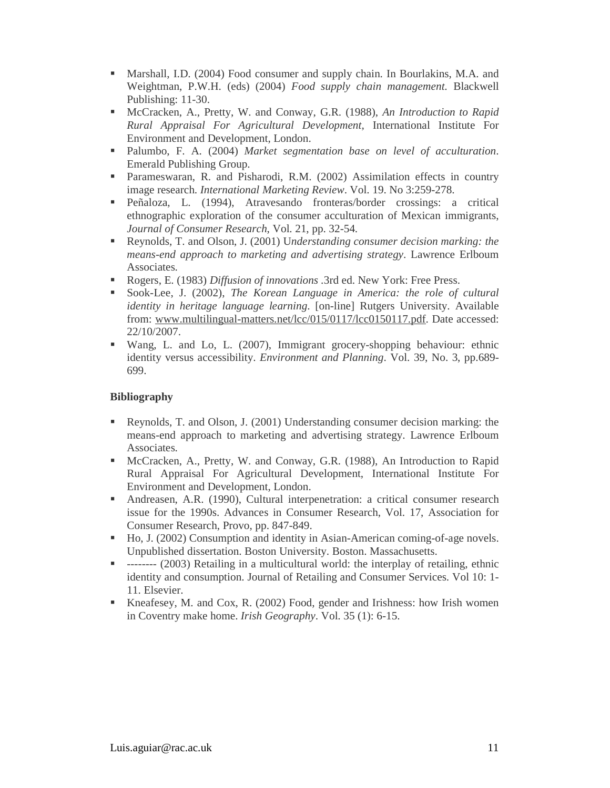- Marshall, I.D. (2004) Food consumer and supply chain. In Bourlakins, M.A. and Weightman, P.W.H. (eds) (2004) *Food supply chain management*. Blackwell Publishing: 11-30.
- McCracken, A., Pretty, W. and Conway, G.R. (1988), *An Introduction to Rapid Rural Appraisal For Agricultural Development,* International Institute For Environment and Development, London.
- Palumbo, F. A. (2004) *Market segmentation base on level of acculturation*. Emerald Publishing Group.
- Parameswaran, R. and Pisharodi, R.M. (2002) Assimilation effects in country image research. *International Marketing Review*. Vol. 19. No 3:259-278.
- Peñaloza, L. (1994), Atravesando fronteras/border crossings: a critical ethnographic exploration of the consumer acculturation of Mexican immigrants, *Journal of Consumer Research*, Vol. 21, pp. 32-54.
- Reynolds, T. and Olson, J. (2001) U*nderstanding consumer decision marking: the means-end approach to marketing and advertising strategy*. Lawrence Erlboum Associates.
- Rogers, E. (1983) *Diffusion of innovations* .3rd ed. New York: Free Press.
- Sook-Lee, J. (2002), *The Korean Language in America: the role of cultural identity in heritage language learning*. [on-line] Rutgers University. Available from: www.multilingual-matters.net/lcc/015/0117/lcc0150117.pdf. Date accessed: 22/10/2007.
- Wang, L. and Lo, L. (2007), Immigrant grocery-shopping behaviour: ethnic identity versus accessibility. *Environment and Planning*. Vol. 39, No. 3, pp.689- 699.

### **Bibliography**

- Reynolds, T. and Olson, J. (2001) Understanding consumer decision marking: the means-end approach to marketing and advertising strategy. Lawrence Erlboum Associates.
- McCracken, A., Pretty, W. and Conway, G.R. (1988), An Introduction to Rapid Rural Appraisal For Agricultural Development, International Institute For Environment and Development, London.
- Andreasen, A.R. (1990), Cultural interpenetration: a critical consumer research issue for the 1990s. Advances in Consumer Research, Vol. 17, Association for Consumer Research, Provo, pp. 847-849.
- Ho, J. (2002) Consumption and identity in Asian-American coming-of-age novels. Unpublished dissertation. Boston University. Boston. Massachusetts.
- -------- (2003) Retailing in a multicultural world: the interplay of retailing, ethnic identity and consumption. Journal of Retailing and Consumer Services. Vol 10: 1- 11. Elsevier.
- Kneafesey, M. and Cox, R. (2002) Food, gender and Irishness: how Irish women in Coventry make home. *Irish Geography*. Vol. 35 (1): 6-15.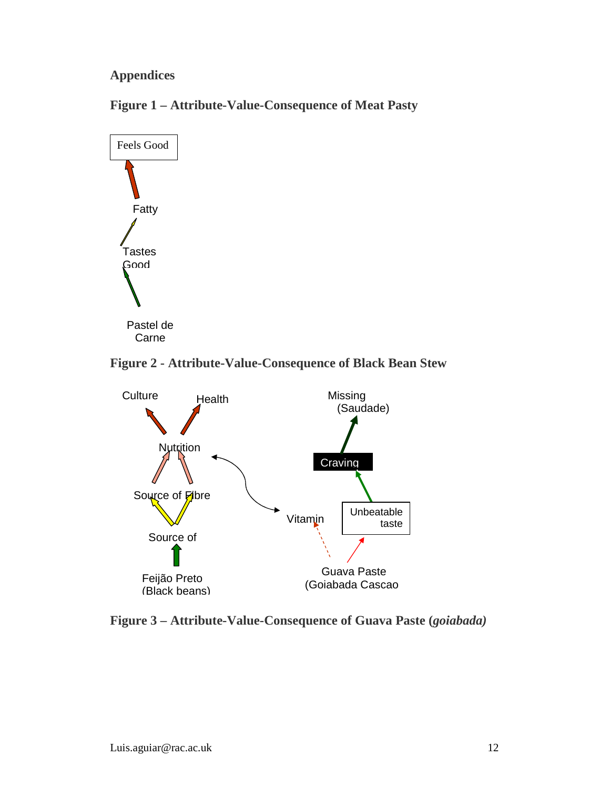# **Appendices**





## **Figure 2 - Attribute-Value-Consequence of Black Bean Stew**



**Figure 3 – Attribute-Value-Consequence of Guava Paste (***goiabada)*